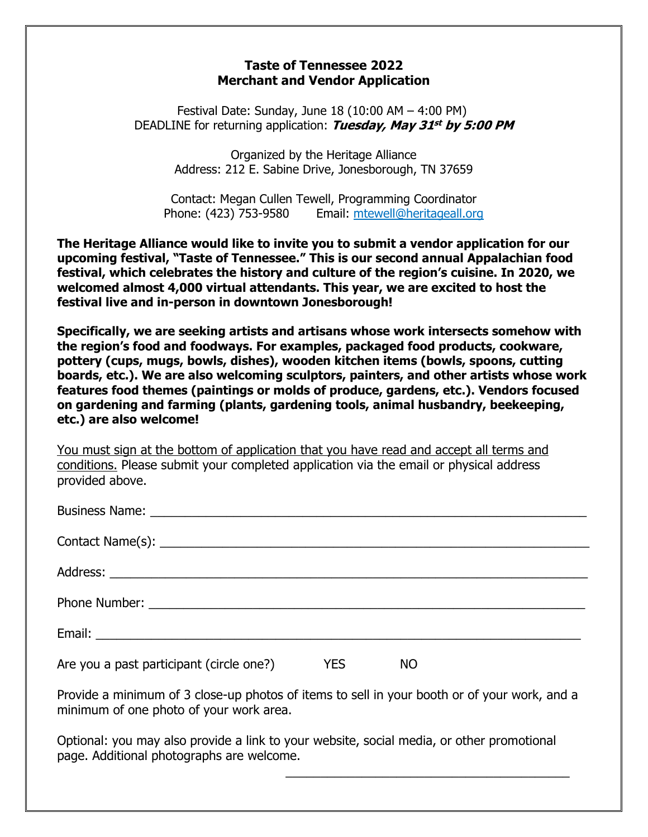## **Taste of Tennessee 2022 Merchant and Vendor Application**

Festival Date: Sunday, June 18 (10:00 AM – 4:00 PM) DEADLINE for returning application: **Tuesday, May 31 st by 5:00 PM**

> Organized by the Heritage Alliance Address: 212 E. Sabine Drive, Jonesborough, TN 37659

Contact: Megan Cullen Tewell, Programming Coordinator Phone: (423) 753-9580 Email: [mtewell@heritageall.org](mailto:mtewell@heritageall.org)

**The Heritage Alliance would like to invite you to submit a vendor application for our upcoming festival, "Taste of Tennessee." This is our second annual Appalachian food festival, which celebrates the history and culture of the region's cuisine. In 2020, we welcomed almost 4,000 virtual attendants. This year, we are excited to host the festival live and in-person in downtown Jonesborough!**

**Specifically, we are seeking artists and artisans whose work intersects somehow with the region's food and foodways. For examples, packaged food products, cookware, pottery (cups, mugs, bowls, dishes), wooden kitchen items (bowls, spoons, cutting boards, etc.). We are also welcoming sculptors, painters, and other artists whose work features food themes (paintings or molds of produce, gardens, etc.). Vendors focused on gardening and farming (plants, gardening tools, animal husbandry, beekeeping, etc.) are also welcome!**

You must sign at the bottom of application that you have read and accept all terms and conditions. Please submit your completed application via the email or physical address provided above.

| Are you a past participant (circle one?) | <b>Example 19 YES</b> | NO |  |
|------------------------------------------|-----------------------|----|--|

Provide a minimum of 3 close-up photos of items to sell in your booth or of your work, and a minimum of one photo of your work area.

\_\_\_\_\_\_\_\_\_\_\_\_\_\_\_\_\_\_\_\_\_\_\_\_\_\_\_\_\_\_\_\_\_\_\_\_\_\_\_\_\_

Optional: you may also provide a link to your website, social media, or other promotional page. Additional photographs are welcome.